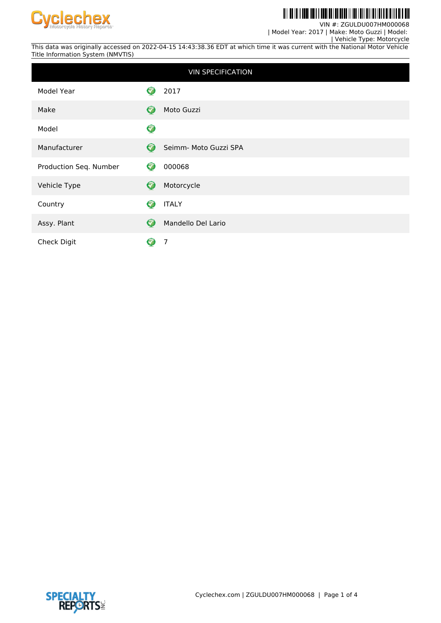

#### II I ANNI ALIT ANNA II INI THA II **III III III**

VIN #: ZGULDU007HM000068

| Model Year: 2017 | Make: Moto Guzzi | Model:

 | Vehicle Type: Motorcycle This data was originally accessed on 2022-04-15 14:43:38.36 EDT at which time it was current with the National Motor Vehicle Title Information System (NMVTIS)

|                        |                      | <b>VIN SPECIFICATION</b> |
|------------------------|----------------------|--------------------------|
| Model Year             | V                    | 2017                     |
| Make                   | Ø                    | Moto Guzzi               |
| Model                  | $\bullet$            |                          |
| Manufacturer           | Ø                    | Seimm- Moto Guzzi SPA    |
| Production Seq. Number | $\blacktriangledown$ | 000068                   |
| Vehicle Type           | Ø                    | Motorcycle               |
| Country                | S                    | <b>ITALY</b>             |
| Assy. Plant            | Ø                    | Mandello Del Lario       |
| Check Digit            | $\blacktriangledown$ | $\overline{7}$           |

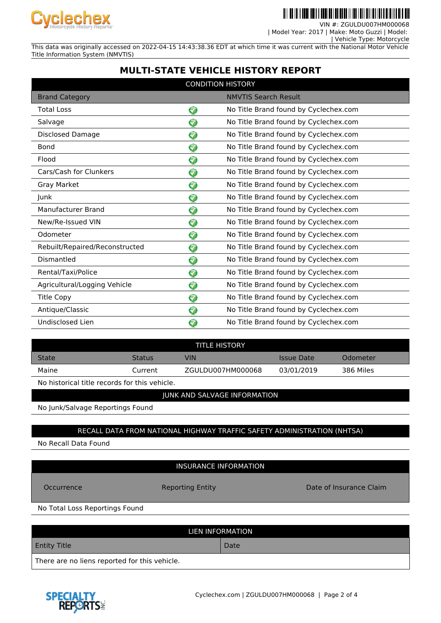

VIN #: ZGULDU007HM000068

 | Model Year: 2017 | Make: Moto Guzzi | Model: | Vehicle Type: Motorcycle

This data was originally accessed on 2022-04-15 14:43:38.36 EDT at which time it was current with the National Motor Vehicle Title Information System (NMVTIS)

## **MULTI-STATE VEHICLE HISTORY REPORT**

| <b>CONDITION HISTORY</b>       |           |                                       |  |  |  |
|--------------------------------|-----------|---------------------------------------|--|--|--|
| <b>Brand Category</b>          |           | <b>NMVTIS Search Result</b>           |  |  |  |
| <b>Total Loss</b>              | ❤         | No Title Brand found by Cyclechex.com |  |  |  |
| Salvage                        | €         | No Title Brand found by Cyclechex.com |  |  |  |
| <b>Disclosed Damage</b>        | 3         | No Title Brand found by Cyclechex.com |  |  |  |
| Bond                           | 0         | No Title Brand found by Cyclechex.com |  |  |  |
| Flood                          | ଚ         | No Title Brand found by Cyclechex.com |  |  |  |
| Cars/Cash for Clunkers         | ❤         | No Title Brand found by Cyclechex.com |  |  |  |
| Gray Market                    | ❤         | No Title Brand found by Cyclechex.com |  |  |  |
| Junk                           | $\bullet$ | No Title Brand found by Cyclechex.com |  |  |  |
| Manufacturer Brand             | $\bullet$ | No Title Brand found by Cyclechex.com |  |  |  |
| New/Re-Issued VIN              | ❤         | No Title Brand found by Cyclechex.com |  |  |  |
| Odometer                       | ❤         | No Title Brand found by Cyclechex.com |  |  |  |
| Rebuilt/Repaired/Reconstructed | 0         | No Title Brand found by Cyclechex.com |  |  |  |
| Dismantled                     | ❤         | No Title Brand found by Cyclechex.com |  |  |  |
| Rental/Taxi/Police             | $\bullet$ | No Title Brand found by Cyclechex.com |  |  |  |
| Agricultural/Logging Vehicle   | ଚ         | No Title Brand found by Cyclechex.com |  |  |  |
| <b>Title Copy</b>              | ❤         | No Title Brand found by Cyclechex.com |  |  |  |
| Antique/Classic                | 0         | No Title Brand found by Cyclechex.com |  |  |  |
| Undisclosed Lien               | S         | No Title Brand found by Cyclechex.com |  |  |  |

| <b>TITLE HISTORY</b> |               |                   |                   |           |  |  |
|----------------------|---------------|-------------------|-------------------|-----------|--|--|
| <b>State</b>         | <b>Status</b> | VIN               | <b>Issue Date</b> | Odometer  |  |  |
| Maine                | Current       | ZGULDU007HM000068 | 03/01/2019        | 386 Miles |  |  |
|                      |               |                   |                   |           |  |  |

No historical title records for this vehicle.

### JUNK AND SALVAGE INFORMATION

No Junk/Salvage Reportings Found

### RECALL DATA FROM NATIONAL HIGHWAY TRAFFIC SAFETY ADMINISTRATION (NHTSA)

No Recall Data Found

## INSURANCE INFORMATION

Occurrence **Reporting Entity Reporting Entity Date of Insurance Claim** 

No Total Loss Reportings Found

| LIEN INFORMATION                              |      |  |  |  |
|-----------------------------------------------|------|--|--|--|
| <b>Entity Title</b>                           | Date |  |  |  |
| There are no liens reported for this vehicle. |      |  |  |  |

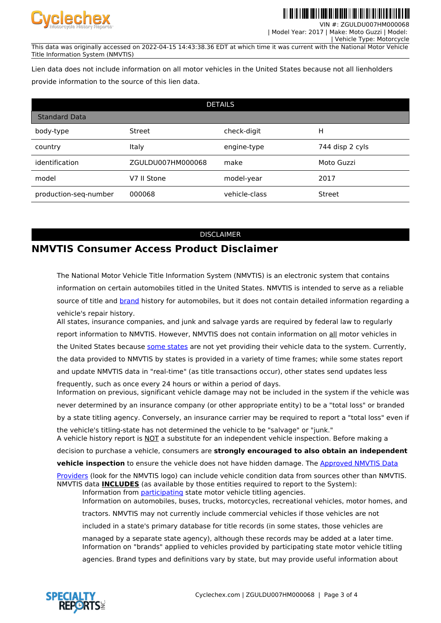

VIN #: ZGULDU007HM000068 | Model Year: 2017 | Make: Moto Guzzi | Model:

 | Vehicle Type: Motorcycle This data was originally accessed on 2022-04-15 14:43:38.36 EDT at which time it was current with the National Motor Vehicle Title Information System (NMVTIS)

Lien data does not include information on all motor vehicles in the United States because not all lienholders provide information to the source of this lien data.

| <b>DETAILS</b>        |                   |               |                 |  |  |  |
|-----------------------|-------------------|---------------|-----------------|--|--|--|
| <b>Standard Data</b>  |                   |               |                 |  |  |  |
| body-type             | <b>Street</b>     | check-digit   | Н               |  |  |  |
| country               | Italy             | engine-type   | 744 disp 2 cyls |  |  |  |
| identification        | ZGULDU007HM000068 | make          | Moto Guzzi      |  |  |  |
| model                 | V7 II Stone       | model-year    | 2017            |  |  |  |
| production-seq-number | 000068            | vehicle-class | <b>Street</b>   |  |  |  |

#### DISCLAIMER

## **NMVTIS Consumer Access Product Disclaimer**

The National Motor Vehicle Title Information System (NMVTIS) is an electronic system that contains information on certain automobiles titled in the United States. NMVTIS is intended to serve as a reliable source of title and [brand](https://vehiclehistory.bja.ojp.gov/nmvtis_glossary) history for automobiles, but it does not contain detailed information regarding a vehicle's repair history.

All states, insurance companies, and junk and salvage yards are required by federal law to regularly report information to NMVTIS. However, NMVTIS does not contain information on all motor vehicles in the United States because [some states](https://vehiclehistory.bja.ojp.gov/nmvtis_states) are not yet providing their vehicle data to the system. Currently, the data provided to NMVTIS by states is provided in a variety of time frames; while some states report and update NMVTIS data in "real-time" (as title transactions occur), other states send updates less

frequently, such as once every 24 hours or within a period of days. Information on previous, significant vehicle damage may not be included in the system if the vehicle was never determined by an insurance company (or other appropriate entity) to be a "total loss" or branded

by a state titling agency. Conversely, an insurance carrier may be required to report a "total loss" even if

the vehicle's titling-state has not determined the vehicle to be "salvage" or "junk." A vehicle history report is NOT a substitute for an independent vehicle inspection. Before making a

decision to purchase a vehicle, consumers are **strongly encouraged to also obtain an independent**

**vehicle inspection** to ensure the vehicle does not have hidden damage. The [Approved NMVTIS Data](https://vehiclehistory.bja.ojp.gov/nmvtis_vehiclehistory)

[Providers](https://vehiclehistory.bja.ojp.gov/nmvtis_vehiclehistory) (look for the NMVTIS logo) can include vehicle condition data from sources other than NMVTIS. NMVTIS data **INCLUDES** (as available by those entities required to report to the System):

Information from [participating](https://vehiclehistory.bja.ojp.gov/nmvtis_states) state motor vehicle titling agencies. Information on automobiles, buses, trucks, motorcycles, recreational vehicles, motor homes, and

tractors. NMVTIS may not currently include commercial vehicles if those vehicles are not

included in a state's primary database for title records (in some states, those vehicles are

managed by a separate state agency), although these records may be added at a later time. Information on "brands" applied to vehicles provided by participating state motor vehicle titling

agencies. Brand types and definitions vary by state, but may provide useful information about